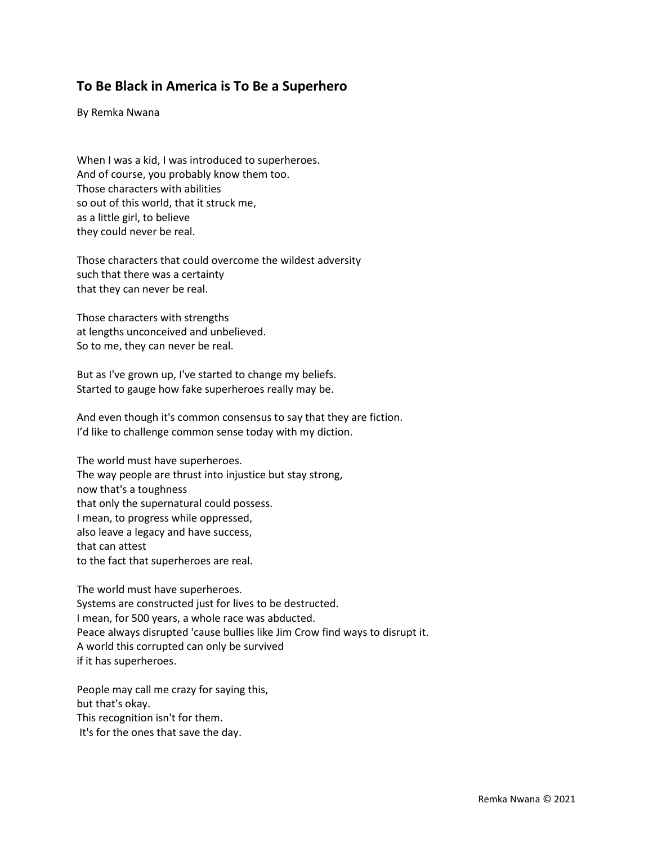## **To Be Black in America is To Be a Superhero**

By Remka Nwana

When I was a kid, I was introduced to superheroes. And of course, you probably know them too. Those characters with abilities so out of this world, that it struck me, as a little girl, to believe they could never be real.

Those characters that could overcome the wildest adversity such that there was a certainty that they can never be real.

Those characters with strengths at lengths unconceived and unbelieved. So to me, they can never be real.

But as I've grown up, I've started to change my beliefs. Started to gauge how fake superheroes really may be.

And even though it's common consensus to say that they are fiction. I'd like to challenge common sense today with my diction.

The world must have superheroes. The way people are thrust into injustice but stay strong, now that's a toughness that only the supernatural could possess. I mean, to progress while oppressed, also leave a legacy and have success, that can attest to the fact that superheroes are real.

The world must have superheroes. Systems are constructed just for lives to be destructed. I mean, for 500 years, a whole race was abducted. Peace always disrupted 'cause bullies like Jim Crow find ways to disrupt it. A world this corrupted can only be survived if it has superheroes.

People may call me crazy for saying this, but that's okay. This recognition isn't for them. It's for the ones that save the day.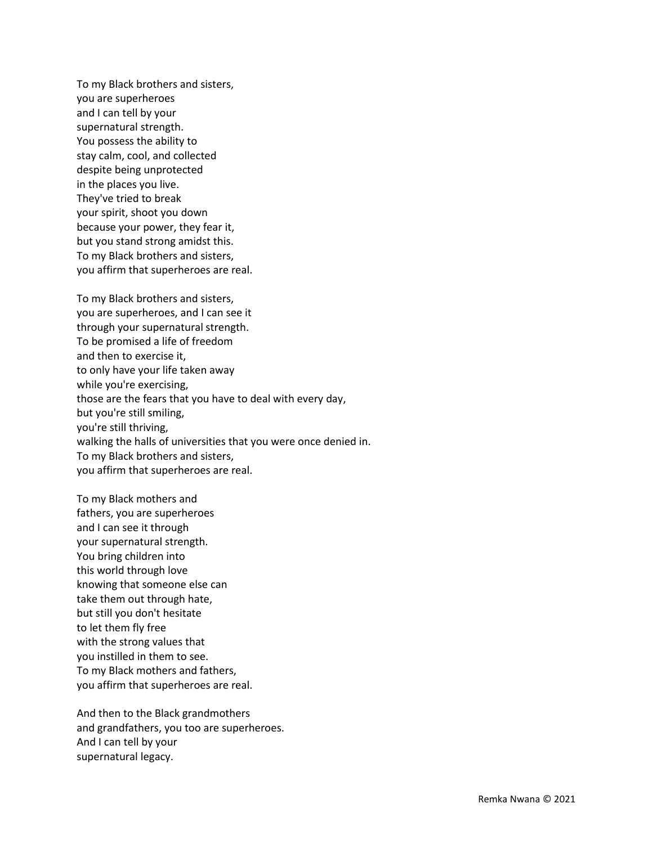To my Black brothers and sisters, you are superheroes and I can tell by your supernatural strength. You possess the ability to stay calm, cool, and collected despite being unprotected in the places you live. They've tried to break your spirit, shoot you down because your power, they fear it, but you stand strong amidst this. To my Black brothers and sisters, you affirm that superheroes are real.

To my Black brothers and sisters, you are superheroes, and I can see it through your supernatural strength. To be promised a life of freedom and then to exercise it, to only have your life taken away while you're exercising, those are the fears that you have to deal with every day, but you're still smiling, you're still thriving, walking the halls of universities that you were once denied in. To my Black brothers and sisters, you affirm that superheroes are real.

To my Black mothers and fathers, you are superheroes and I can see it through your supernatural strength. You bring children into this world through love knowing that someone else can take them out through hate, but still you don't hesitate to let them fly free with the strong values that you instilled in them to see. To my Black mothers and fathers, you affirm that superheroes are real.

And then to the Black grandmothers and grandfathers, you too are superheroes. And I can tell by your supernatural legacy.